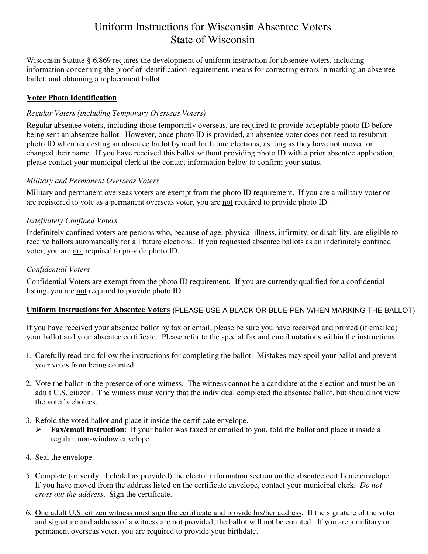# Uniform Instructions for Wisconsin Absentee Voters State of Wisconsin

Wisconsin Statute § 6.869 requires the development of uniform instruction for absentee voters, including information concerning the proof of identification requirement, means for correcting errors in marking an absentee ballot, and obtaining a replacement ballot.

# **Voter Photo Identification**

# *Regular Voters (including Temporary Overseas Voters)*

Regular absentee voters, including those temporarily overseas, are required to provide acceptable photo ID before being sent an absentee ballot. However, once photo ID is provided, an absentee voter does not need to resubmit photo ID when requesting an absentee ballot by mail for future elections, as long as they have not moved or changed their name. If you have received this ballot without providing photo ID with a prior absentee application, please contact your municipal clerk at the contact information below to confirm your status.

## *Military and Permanent Overseas Voters*

Military and permanent overseas voters are exempt from the photo ID requirement. If you are a military voter or are registered to vote as a permanent overseas voter, you are not required to provide photo ID.

## *Indefinitely Confined Voters*

Indefinitely confined voters are persons who, because of age, physical illness, infirmity, or disability, are eligible to receive ballots automatically for all future elections. If you requested absentee ballots as an indefinitely confined voter, you are not required to provide photo ID.

## *Confidential Voters*

Confidential Voters are exempt from the photo ID requirement. If you are currently qualified for a confidential listing, you are not required to provide photo ID.

## **Uniform Instructions for Absentee Voters**  (PLEASE USE A BLACK OR BLUE PEN WHEN MARKING THE BALLOT)

If you have received your absentee ballot by fax or email, please be sure you have received and printed (if emailed) your ballot and your absentee certificate. Please refer to the special fax and email notations within the instructions.

- 1. Carefully read and follow the instructions for completing the ballot. Mistakes may spoil your ballot and prevent your votes from being counted.
- 2. Vote the ballot in the presence of one witness. The witness cannot be a candidate at the election and must be an adult U.S. citizen. The witness must verify that the individual completed the absentee ballot, but should not view the voter's choices.
- 3. Refold the voted ballot and place it inside the certificate envelope.
	- **Fax/email instruction**: If your ballot was faxed or emailed to you, fold the ballot and place it inside a regular, non-window envelope.
- 4. Seal the envelope.
- 5. Complete (or verify, if clerk has provided) the elector information section on the absentee certificate envelope. If you have moved from the address listed on the certificate envelope, contact your municipal clerk. *Do not cross out the address*. Sign the certificate.
- 6. One adult U.S. citizen witness must sign the certificate and provide his/her address. If the signature of the voter and signature and address of a witness are not provided, the ballot will not be counted. If you are a military or permanent overseas voter, you are required to provide your birthdate.